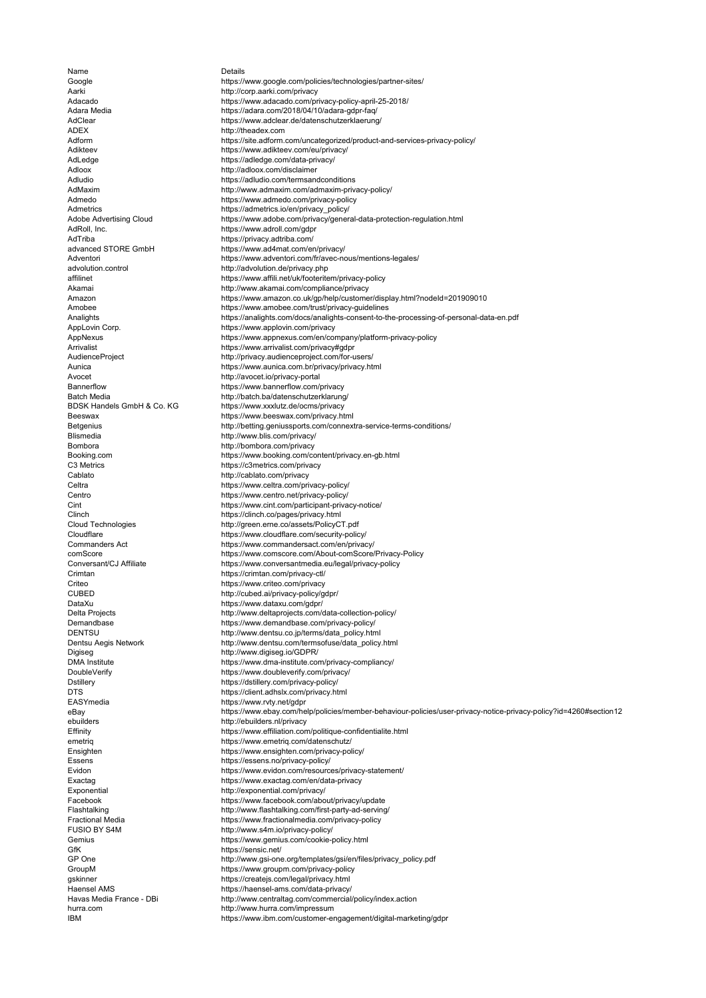Google ADEX<br>Adform Amazon Batch Media<br>BDSK Handels GmbH & Co. KG Cablato<br>Celtra Centro CUBED<br>DataXu DENTSU<br>Dentsu Aegis Network DTS<br>EASYmedia eBay<br>ebuilders Facebook FUSIO BY S4M IBM Adloox http://adloox.com/disclaimer AdRoll, Inc. **the computer of the computer of the computer of the computer of the computer of the computer of the computer of the computer of the computer of the computer of the computer of the computer of the computer of** AdTriba<br>
advanced STORE GmbH<br>
https://www.ad4mat.com/er Blismedia http://www.blis.com/privacy/ ebuilders http://ebuilders.nl/privacy<br>Effinity https://www.effiliation.com GfK<br>GP One the state of the https://sensic.net/<br>http://www.gsi-one

Name Details https://www.google.com/policies/technologies/partner-sites/ Aarki http://corp.aarki.com/privacy Adacado https://www.adacado.com/privacy-policy-april-25-2018/ Adara Media https://adara.com/2018/04/10/adara-gdpr-faq/<br>Adara Media https://adara.com/2018/04/10/adara-gdpr-faq/<br>AdClear https://www.adclear.de/datenschutzerklaerung https://www.adclear.de/datenschutzerklaerung/ http://theadex.com Adform https://site.adform.com/uncategorized/product-and-services-privacy-policy/<br>Adikteev https://www.adikteev.com/eu/privacy/ https://www.adikteev.com/eu/privacy/ AdLedge https://adledge.com/data-privacy/ Adludio **https://adludio.com/termsandconditions**<br>AdMaxim http://www.admaxim.com/admaxim-priv AdMaxim http://www.admaxim.com/admaxim-privacy-policy/<br>Admedo https://www.admedo.com/privacy-policy https://www.admedo.com/privacy-policy Admetrics<br>Adobe Advertising Cloud<br>https://www.adobe.com/privacy/gener Adobe Advertising Cloud https://www.adobe.com/privacy/general-data-protection-regulation.html<br>AdRoll, Inc. https://www.adroll.com/gdpr https://www.ad4mat.com/en/privacy/ Adventori https://www.adventori.com/fr/avec-nous/mentions-legales/ advolution.control http://advolution.de/privacy.php affilinet https://www.affili.net/uk/footeritem/privacy-policy Akamai http://www.akamai.com/compliance/privacy https://www.amazon.co.uk/gp/help/customer/display.html?nodeId=201909010 Amobee https://www.amobee.com/trust/privacy-guidelines Analights https://analights.com/docs/analights-consent-to-the-processing-of-personal-data-en.pdf<br>AppLovin Corp. https://www.applovin.com/privacy AppLovin Corp. https://www.applovin.com/privacy AppNexus https://www.appnexus.com/en/company/platform-privacy-policy Arrivalist https://www.arrivalist.com/privacy#gdpr<br>AudienceProject http://privacy.audienceproject.com/forhttp://privacy.audienceproject.com/for-users/ Aunica Aunica<br>
Aunica https://www.aunica.com.br/privacy/privacy.html<br>
Avocet http://avocet.io/privacy-portal Avocet http://avocet.io/privacy-portal https://www.bannerflow.com/privacy http://batch.ba/datenschutzerklarung/ BDSK Handels GmbH & Co. KG<br>
Beeswax com/privacy https://www.beeswax.com/privacy.htms Beeswax https://www.beeswax.com/privacy.html<br>Betgenius http://betting.geniussports.com/connex Betgenius http://betting.geniussports.com/connextra-service-terms-conditions/<br>Blismedia http://www.blis.com/privacy/ http://bombora.com/privacy Booking.com https://www.booking.com/content/privacy.en-gb.html https://c3metrics.com/privacy http://cablato.com/privacy https://www.celtra.com/privacy-policy/ https://www.centro.net/privacy-policy/ Cint https://www.cint.com/participant-privacy-notice/ Clinch https://clinch.co/pages/privacy.html<br>Cloud Technologies http://green.erne.co/assets/PolicyC http://green.erne.co/assets/PolicyCT.pdf Cloudflare https://www.cloudflare.com/security-policy/ Commanders Act https://www.commandersact.com/en/privacy/ comScore https://www.comscore.com/About-comScore/Privacy-Policy https://www.conversantmedia.eu/legal/privacy-policy Crimtan https://crimtan.com/privacy-ctl/ Criteo https://www.criteo.com/privacy http://cubed.ai/privacy-policy/gdpr/ DataXu<br>DataXu https://www.dataxu.com/gdpr/<br>Delta Projects http://www.deltaprojects.com/c Delta Projects<br>
Demandbase http://www.deltaprojects.com/data-collection-policy/<br>
https://www.demandbase.com/privacy-policy/ https://www.demandbase.com/privacy-policy/ http://www.dentsu.co.jp/terms/data\_policy.html Dentsu Aegis Network http://www.dentsu.com/termsofuse/data\_policy.html Digiseg **http://www.digiseg.io/GDPR/**<br>DMA Institute **https://www.dma-institute.co** DMA Institute https://www.dma-institute.com/privacy-compliancy/ DoubleVerify https://www.doubleverify.com/privacy/<br>Dstillery https://dstillery.com/privacy-policy/ https://dstillery.com/privacy-policy/ https://client.adhslx.com/privacy.html https://www.rvty.net/gdpr https://www.ebay.com/help/policies/member-behaviour-policies/user-privacy-notice-privacy-policy?id=4260#section12 https://www.effiliation.com/politique-confidentialite.html emetriq https://www.emetriq.com/datenschutz/ Ensighten https://www.ensighten.com/privacy-policy/ Essens https://essens.no/privacy-policy/ Evidon https://www.evidon.com/resources/privacy-statement/<br>Exactag https://www.exactag.com/en/data-privacy https://www.exactag.com/en/data-privacy Exponential http://exponential.com/privacy/ https://www.facebook.com/about/privacy/update Flashtalking http://www.flashtalking.com/first-party-ad-serving/ Fractional Media https://www.fractionalmedia.com/privacy-policy http://www.s4m.io/privacy-policy/ Gemius **Gemius** https://www.gemius.com/cookie-policy.html<br>GfK https://sensic.net/ GP One http://www.gsi-one.org/templates/gsi/en/files/privacy\_policy.pdf<br>GroupM https://www.groupm.com/privacy-policy GroupM https://www.groupm.com/privacy-policy<br>askinner https://createis.com/legal/privacy.html gskinner https://createjs.com/legal/privacy.html y<br>Haensel AMS https://haensel-ams.com/data-privacy/<br>Havas Media France - DBi http://www.centraltag.com/commercial http://www.centraltag.com/commercial/policy/index.action hurra.com http://www.hurra.com/impressum https://www.ibm.com/customer-engagement/digital-marketing/gdpr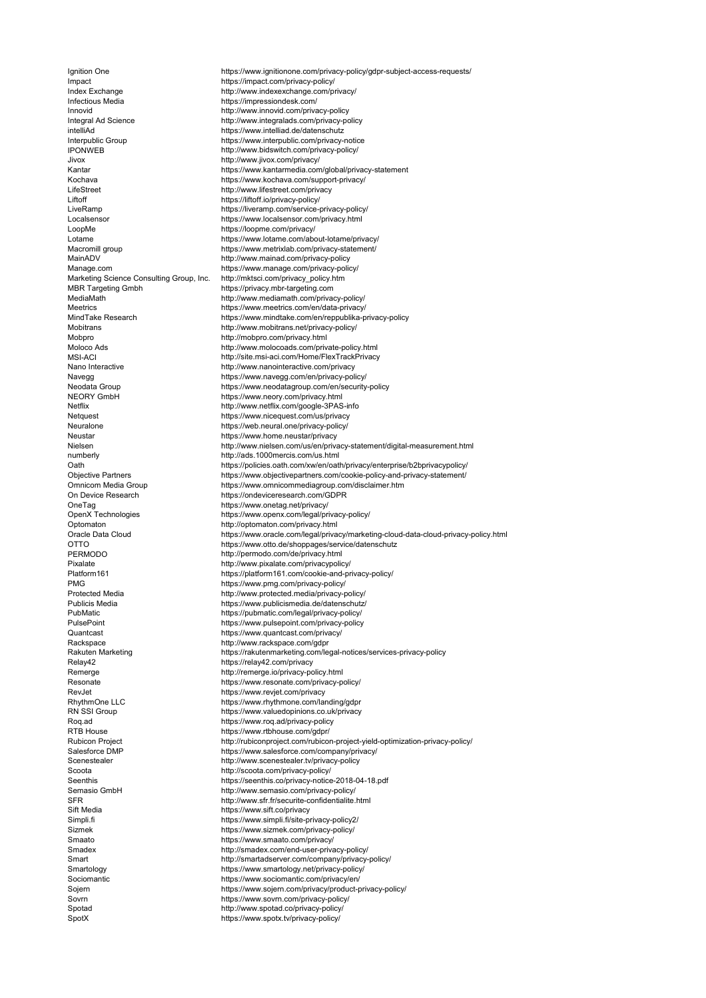IPONWEB MSI-ACI<br>Nano Interactive OTTO PERMODO Platform161 PMG<br>Protected Media Relay42<br>Remerge SFR<br>Sift Media Impact https://impact.com/privacy-policy/ Index Exchange http://www.indexexchange.com/privacy/ Infectious Media **https://impressiondesk.com/**<br>Innovid http://www.innovid.com/priva Innovid Innovid and the method of the method of the method of the method of the method of the method of the method of the method of the method of the method of the method of the method of the method of the method of the me intelliAd<br>Interpublic Group https://www.intelliad.de/datenschutz<br>Interpublic.com/privacy-Jivox http://www.jivox.com/privacy/ LifeStreet http://www.lifestreet.com/privacy<br>
Liftoff intervalses://liftoff.io/privacy-policy/ Liftoff https://liftoff.io/privacy-policy/<br>
LiveRamp https://liveramp.com/service-LoopMe https://loopme.com/privacy/<br>
Lotame https://www.lotame.com/abc MainADV http://www.mainad.com/privacy-policy Manage.com https://www.manage.com/privacy-policy/ Marketing Science Consulting Group, Inc. http://mktsci.com/privacy\_policy.htm MBR Targeting Gmbh https://privacy.mbr-targeting.com Mobitrans http://www.mobitrans.net/privacy-policy/ Mobpro **http://mobpro.com/privacy.html**<br>Moloco Ads **http://www.molocoads.com/privacy.html** Nano Interactive http://www.nanointeractive.com/privacy<br>Navegg and https://www.navegg.com/en/privacy-pol Netflix http://www.netflix.com/google-3PAS-info<br>https://www.nicequest.com/us/privacy Netquest **https://www.nicequest.com/us/privacy**<br>Neuralone https://web.neural.one/privacy-policy/ Neuralone https://web.neural.one/privacy-policy/<br>Neustar https://www.home.neustar/privacy Neustar https://www.home.neustar/privacy<br>Nielsen http://www.nielsen.com/us/en/priva numberly http://ads.1000mercis.com/us.html On Device Research https://ondeviceresearch.com/GDPR OneTag<br>
OpenX Technologies<br>
OpenX Technologies<br>
OpenX Technologies<br>
OpenX Technologies Optomaton<br>
Oracle Data Cloud<br>
Oracle Data Cloud<br>
http://optomaton.com/privacy.html<br>
https://www.oracle.com/legal/priva Pixalate http://www.pixalate.com/privacypolicy/ Quantcast https://www.quantcast.com/privacy/ Rackspace http://www.rackspace.com/gdpr<br>Rakuten Marketing https://rakutenmarketing.com/le Remerge http://remerge.io/privacy-policy.html<br>Resonate https://www.resonate.com/privacy-policy RevJet https://www.revjet.com/privacy Roq.ad https://www.roq.ad/privacy-policy<br>RTB House https://www.rtbhouse.com/adpr/ Scenestealer http://www.scenestealer.tv/privacy-policy Scoota http://scoota.com/privacy-policy/ Semasio GmbH http://www.semasio.com/privacy-policy/ Sift Media https://www.sift.co/privacy<br>Simpli.fi Sizmek https://www.sizmek.com/privacy-policy/ Smaato **https://www.smaato.com/privacy/**<br>Smadex **http://smadex.com/end-user-priva** Sociomantic and the https://www.sociomantic.com/privacy/en/<br>Sojern https://www.sojern.com/privacy/product-Spotad http://www.spotad.co/privacy-policy/<br>SpotX https://www.spotx.tv/privacy-policy/

Ignition One https://www.ignitionone.com/privacy-policy/gdpr-subject-access-requests/ Integral Ad Science http://www.integralads.com/privacy-policy<br>
intelliad.de/datenschutz<br>
https://www.intelliad.de/datenschutz https://www.interpublic.com/privacy-notice http://www.bidswitch.com/privacy-policy/ Kantar https://www.kantarmedia.com/global/privacy-statement Kochava https://www.kochava.com/support-privacy/<br>LifeStreet http://www.lifestreet.com/privacy LiveRamp https://liveramp.com/service-privacy-policy/<br>
Localsensor https://www.localsensor.com/privacy.html Localsensor https://www.localsensor.com/privacy.html<br>
LoopMe https://loopme.com/privacy/ https://www.lotame.com/about-lotame/privacy/ Macromill group https://www.metrixlab.com/privacy-statement/ MediaMath http://www.mediamath.com/privacy-policy/ Meetrics https://www.meetrics.com/en/data-privacy/<br>MindTake Research https://www.mindtake.com/en/reppublika-p https://www.mindtake.com/en/reppublika-privacy-policy http://www.molocoads.com/private-policy.html http://site.msi-aci.com/Home/FlexTrackPrivacy Navegg battps://www.navegg.com/en/privacy-policy/<br>Neodata Group https://www.neodatagroup.com/en/security Neodata Group https://www.neodatagroup.com/en/security-policy<br>NEORY GmbH https://www.neory.com/privacy.html https://www.neory.com/privacy.html http://www.nielsen.com/us/en/privacy-statement/digital-measurement.html Oath marries://policies.oath.com/xw/en/oath/privacy/enterprise/b2bprivacypolicy/<br>Objective Partners marries://www.objectivepartners.com/cookie-policy-and-privacy-statement/ Objective Partners<br>
Objective Partners https://www.objectivepartners.com/cookie-policy-and-privacy-statement/<br>
Omnicom Media Group https://www.omnicommediagroup.com/disclaimer.htm https://www.omnicommediagroup.com/disclaimer.htm https://www.openx.com/legal/privacy-policy/ https://www.oracle.com/legal/privacy/marketing-cloud-data-cloud-privacy-policy.html https://www.otto.de/shoppages/service/datenschutz http://permodo.com/de/privacy.html https://platform161.com/cookie-and-privacy-policy/ https://www.pmg.com/privacy-policy/ Protected Media **http://www.protected.media/privacy-policy/**<br>Publicis Media https://www.publicismedia.de/datenschutz/ Publicis Media https://www.publicismedia.de/datenschutz/<br>Publicis Media https://www.publicismedia.de/datenschutz/<br>PubMatic https://pubmatic.com/legal/privacy-policy/ PubMatic **https://pubmatic.com/legal/privacy-policy/**<br>PulsePoint **https://www.pulsepoint.com/privacy-policy** PulsePoint https://www.pulsepoint.com/privacy-policy https://rakutenmarketing.com/legal-notices/services-privacy-policy https://relay42.com/privacy Resonate https://www.resonate.com/privacy-policy/<br>Rev.let https://www.reviet.com/privacy-policy/ RhythmOne LLC https://www.rhythmone.com/landing/gdpr<br>RN SSI Group https://www.valuedopinions.co.uk/privacy RN SSI Group **https://www.valuedopinions.co.uk/privacy**<br>Roq.ad https://www.roq.ad/privacy-policy https://www.rtbhouse.com/gdpr/ Rubicon Project http://rubiconproject.com/rubicon-project-yield-optimization-privacy-policy/ Salesforce DMP https://www.salesforce.com/company/privacy/ Seenthis https://seenthis.co/privacy-notice-2018-04-18.pdf http://www.sfr.fr/securite-confidentialite.html https://www.simpli.fi/site-privacy-policy2/ http://smadex.com/end-user-privacy-policy/ Smart **Smart http://smartadserver.com/company/privacy-policy/**<br>Smartology martalogy.net/privacy-policy/ Smartology https://www.smartology.net/privacy-policy/<br>Smartology https://www.smartology.net/privacy-policy/<br>Sociomantic com/privacy/en/ Sojern https://www.sojern.com/privacy/product-privacy-policy/<br>Sovrn https://www.sovrn.com/privacy-policy/ https://www.sovrn.com/privacy-policy/

https://www.spotx.tv/privacy-policy/